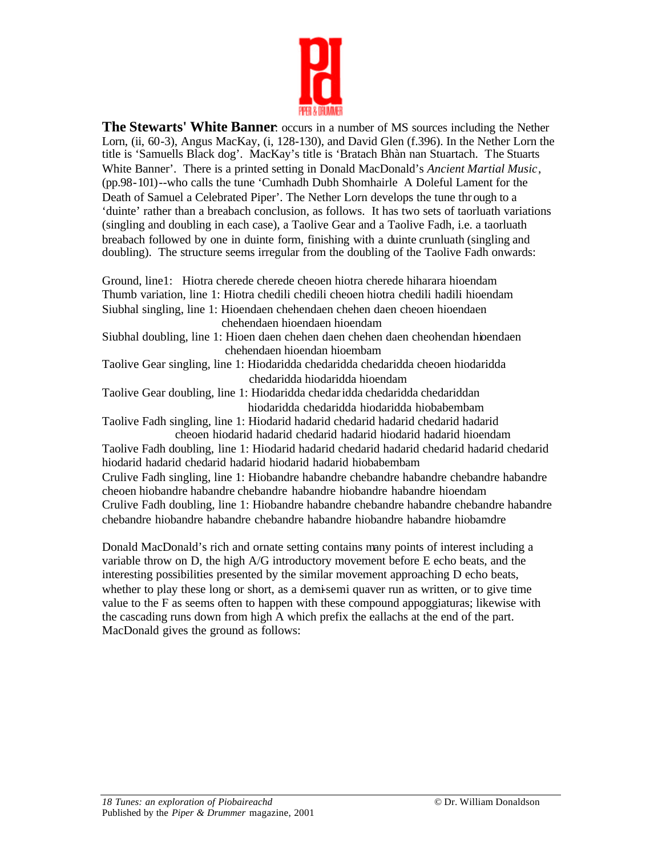

**The Stewarts' White Banner**: occurs in a number of MS sources including the Nether Lorn, (ii, 60-3), Angus MacKay, (i, 128-130), and David Glen (f.396). In the Nether Lorn the title is 'Samuells Black dog'. MacKay's title is 'Bratach Bhàn nan Stuartach. The Stuarts White Banner'. There is a printed setting in Donald MacDonald's *Ancient Martial Music*, (pp.98-101)--who calls the tune 'Cumhadh Dubh Shomhairle A Doleful Lament for the Death of Samuel a Celebrated Piper'. The Nether Lorn develops the tune thr ough to a 'duinte' rather than a breabach conclusion, as follows. It has two sets of taorluath variations (singling and doubling in each case), a Taolive Gear and a Taolive Fadh, i.e. a taorluath breabach followed by one in duinte form, finishing with a duinte crunluath (singling and doubling). The structure seems irregular from the doubling of the Taolive Fadh onwards:

Ground, line1: Hiotra cherede cherede cheoen hiotra cherede hiharara hioendam Thumb variation, line 1: Hiotra chedili chedili cheoen hiotra chedili hadili hioendam Siubhal singling, line 1: Hioendaen chehendaen chehen daen cheoen hioendaen chehendaen hioendaen hioendam Siubhal doubling, line 1: Hioen daen chehen daen chehen daen cheohendan hioendaen chehendaen hioendan hioembam Taolive Gear singling, line 1: Hiodaridda chedaridda chedaridda cheoen hiodaridda chedaridda hiodaridda hioendam Taolive Gear doubling, line 1: Hiodaridda chedaridda chedaridda chedariddan hiodaridda chedaridda hiodaridda hiobabembam Taolive Fadh singling, line 1: Hiodarid hadarid chedarid hadarid chedarid hadarid cheoen hiodarid hadarid chedarid hadarid hiodarid hadarid hioendam Taolive Fadh doubling, line 1: Hiodarid hadarid chedarid hadarid chedarid hadarid chedarid hiodarid hadarid chedarid hadarid hiodarid hadarid hiobabembam Crulive Fadh singling, line 1: Hiobandre habandre chebandre habandre chebandre habandre cheoen hiobandre habandre chebandre habandre hiobandre habandre hioendam Crulive Fadh doubling, line 1: Hiobandre habandre chebandre habandre chebandre habandre chebandre hiobandre habandre chebandre habandre hiobandre habandre hiobamdre

Donald MacDonald's rich and ornate setting contains many points of interest including a variable throw on D, the high A/G introductory movement before E echo beats, and the interesting possibilities presented by the similar movement approaching D echo beats, whether to play these long or short, as a demi-semi quaver run as written, or to give time value to the F as seems often to happen with these compound appoggiaturas; likewise with the cascading runs down from high A which prefix the eallachs at the end of the part. MacDonald gives the ground as follows: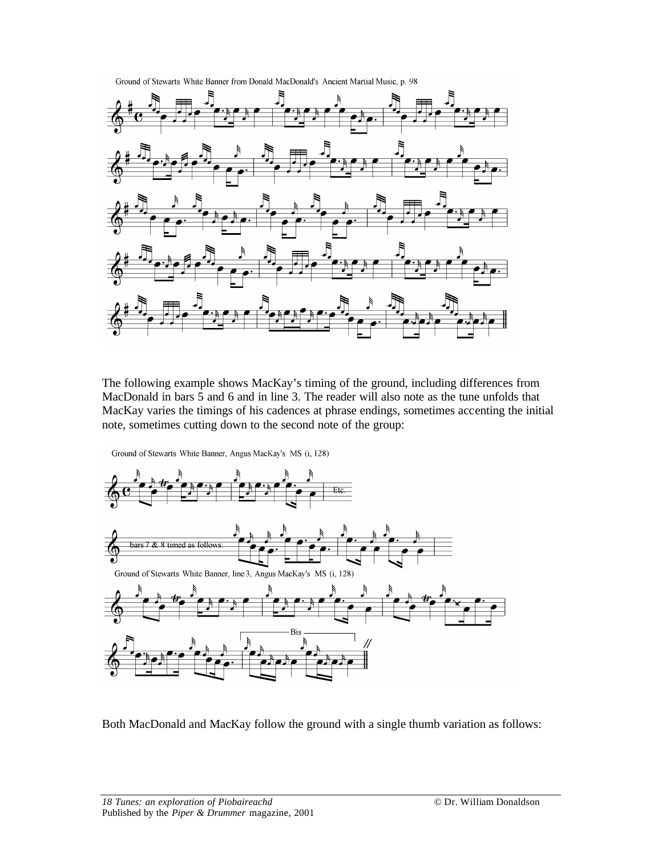

Ground of Stewarts White Banner from Donald MacDonald's Ancient Martial Music, p. 98

The following example shows MacKay's timing of the ground, including differences from MacDonald in bars 5 and 6 and in line 3. The reader will also note as the tune unfolds that MacKay varies the timings of his cadences at phrase endings, sometimes accenting the initial note, sometimes cutting down to the second note of the group:

Ground of Stewarts White Banner, Angus MacKay's MS (i, 128)



Both MacDonald and MacKay follow the ground with a single thumb variation as follows: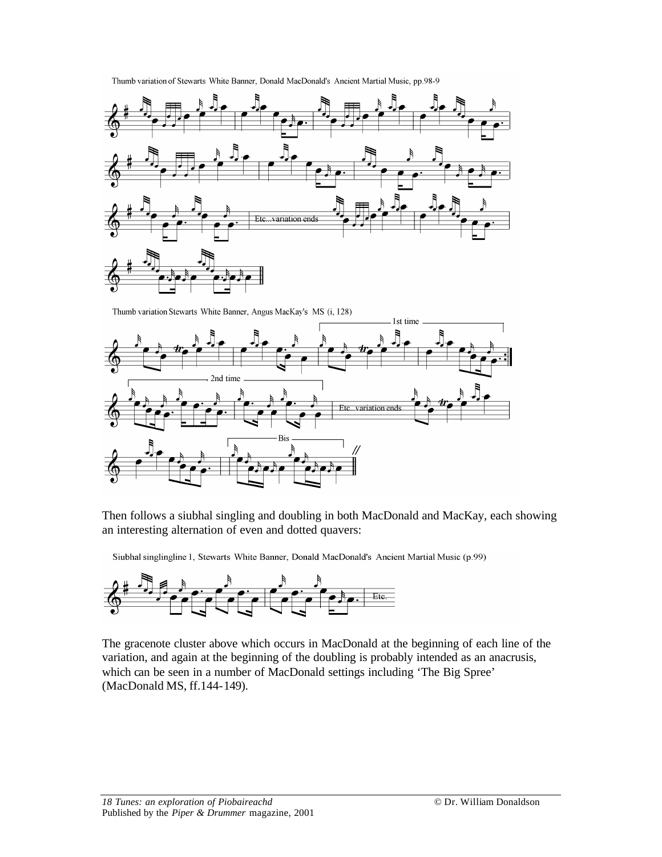



Thumb variation Stewarts White Banner, Angus MacKay's MS (i, 128)



Then follows a siubhal singling and doubling in both MacDonald and MacKay, each showing an interesting alternation of even and dotted quavers:

Siubhal singlingline 1, Stewarts White Banner, Donald MacDonald's Ancient Martial Music (p.99)



The gracenote cluster above which occurs in MacDonald at the beginning of each line of the variation, and again at the beginning of the doubling is probably intended as an anacrusis, which can be seen in a number of MacDonald settings including 'The Big Spree' (MacDonald MS, ff.144-149).